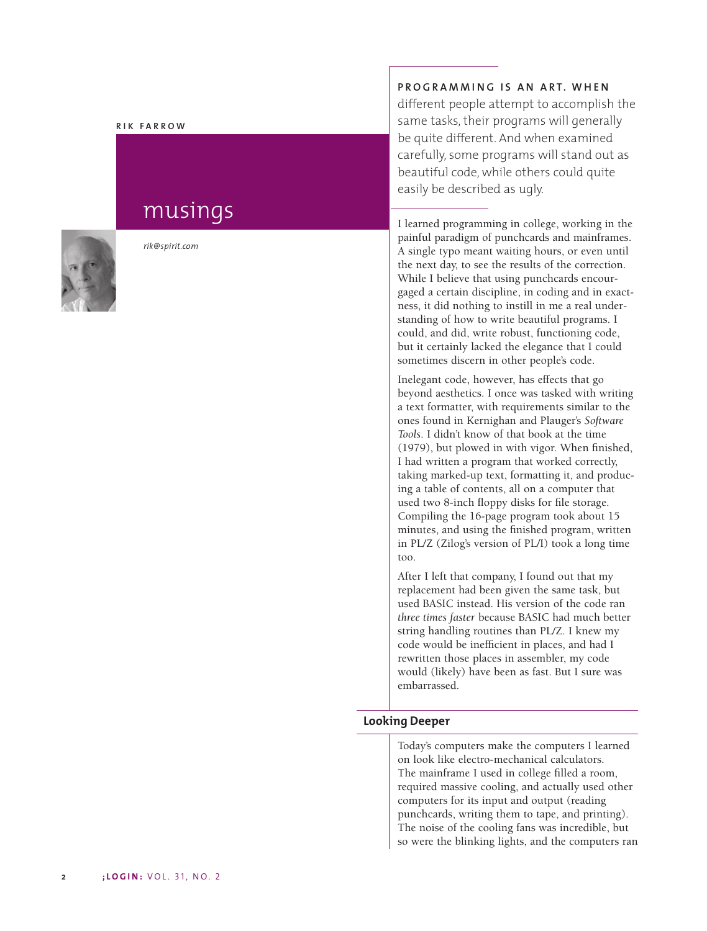#### **RIK FARROW**

# musings



*rik@spirit.com*

## **PROGRAMMING IS AN ART. WHEN**

different people attempt to accomplish the same tasks, their programs will generally be quite different. And when examined carefully, some programs will stand out as beautiful code, while others could quite easily be described as ugly.

I learned programming in college, working in the painful paradigm of punchcards and mainframes. A single typo meant waiting hours, or even until the next day, to see the results of the correction. While I believe that using punchcards encourgaged a certain discipline, in coding and in exactness, it did nothing to instill in me a real understanding of how to write beautiful programs. I could, and did, write robust, functioning code, but it certainly lacked the elegance that I could sometimes discern in other people's code.

Inelegant code, however, has effects that go beyond aesthetics. I once was tasked with writing a text formatter, with requirements similar to the ones found in Kernighan and Plauger's *Software Tools*. I didn't know of that book at the time (1979), but plowed in with vigor. When finished, I had written a program that worked correctly, taking marked-up text, formatting it, and producing a table of contents, all on a computer that used two 8-inch floppy disks for file storage. Compiling the 16-page program took about 15 minutes, and using the finished program, written in PL/Z (Zilog's version of PL/I) took a long time too.

After I left that company, I found out that my replacement had been given the same task, but used BASIC instead. His version of the code ran *three times faster* because BASIC had much better string handling routines than PL/Z. I knew my code would be inefficient in places, and had I rewritten those places in assembler, my code would (likely) have been as fast. But I sure was embarrassed.

## **Looking Deeper**

Today's computers make the computers I learned on look like electro-mechanical calculators. The mainframe I used in college filled a room, required massive cooling, and actually used other computers for its input and output (reading punchcards, writing them to tape, and printing). The noise of the cooling fans was incredible, but so were the blinking lights, and the computers ran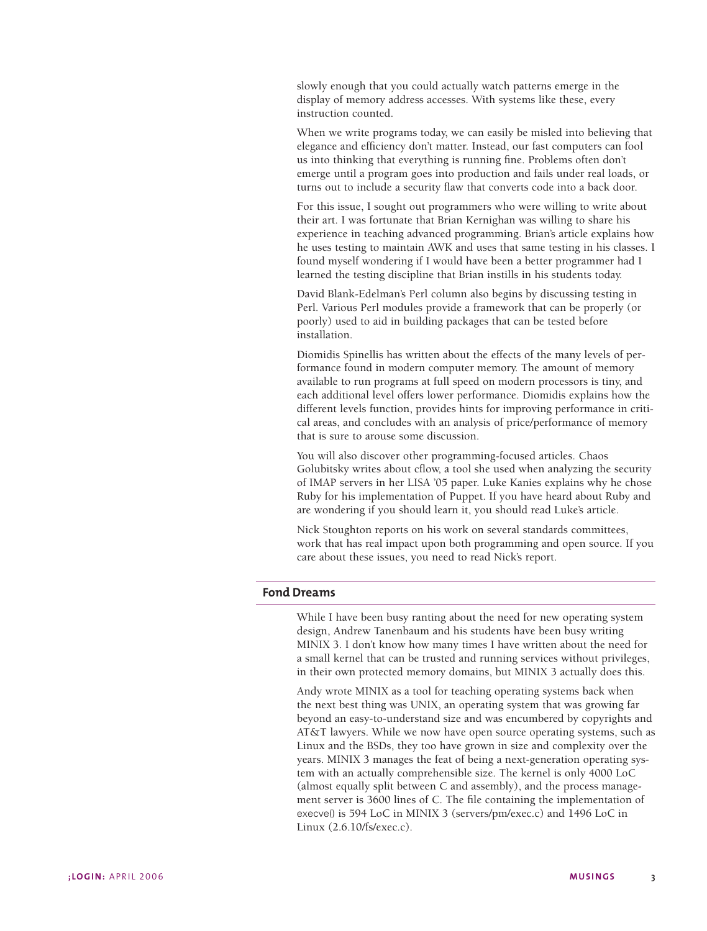slowly enough that you could actually watch patterns emerge in the display of memory address accesses. With systems like these, every instruction counted.

When we write programs today, we can easily be misled into believing that elegance and efficiency don't matter. Instead, our fast computers can fool us into thinking that everything is running fine. Problems often don't emerge until a program goes into production and fails under real loads, or turns out to include a security flaw that converts code into a back door.

For this issue, I sought out programmers who were willing to write about their art. I was fortunate that Brian Kernighan was willing to share his experience in teaching advanced programming. Brian's article explains how he uses testing to maintain AWK and uses that same testing in his classes. I found myself wondering if I would have been a better programmer had I learned the testing discipline that Brian instills in his students today.

David Blank-Edelman's Perl column also begins by discussing testing in Perl. Various Perl modules provide a framework that can be properly (or poorly) used to aid in building packages that can be tested before installation.

Diomidis Spinellis has written about the effects of the many levels of performance found in modern computer memory. The amount of memory available to run programs at full speed on modern processors is tiny, and each additional level offers lower performance. Diomidis explains how the different levels function, provides hints for improving performance in critical areas, and concludes with an analysis of price/performance of memory that is sure to arouse some discussion.

You will also discover other programming-focused articles. Chaos Golubitsky writes about cflow, a tool she used when analyzing the security of IMAP servers in her LISA '05 paper. Luke Kanies explains why he chose Ruby for his implementation of Puppet. If you have heard about Ruby and are wondering if you should learn it, you should read Luke's article.

Nick Stoughton reports on his work on several standards committees, work that has real impact upon both programming and open source. If you care about these issues, you need to read Nick's report.

#### **Fond Dreams**

While I have been busy ranting about the need for new operating system design, Andrew Tanenbaum and his students have been busy writing MINIX 3. I don't know how many times I have written about the need for a small kernel that can be trusted and running services without privileges, in their own protected memory domains, but MINIX 3 actually does this.

Andy wrote MINIX as a tool for teaching operating systems back when the next best thing was UNIX, an operating system that was growing far beyond an easy-to-understand size and was encumbered by copyrights and AT&T lawyers. While we now have open source operating systems, such as Linux and the BSDs, they too have grown in size and complexity over the years. MINIX 3 manages the feat of being a next-generation operating system with an actually comprehensible size. The kernel is only 4000 LoC (almost equally split between C and assembly), and the process management server is 3600 lines of C. The file containing the implementation of execve() is 594 LoC in MINIX 3 (servers/pm/exec.c) and 1496 LoC in Linux (2.6.10/fs/exec.c).